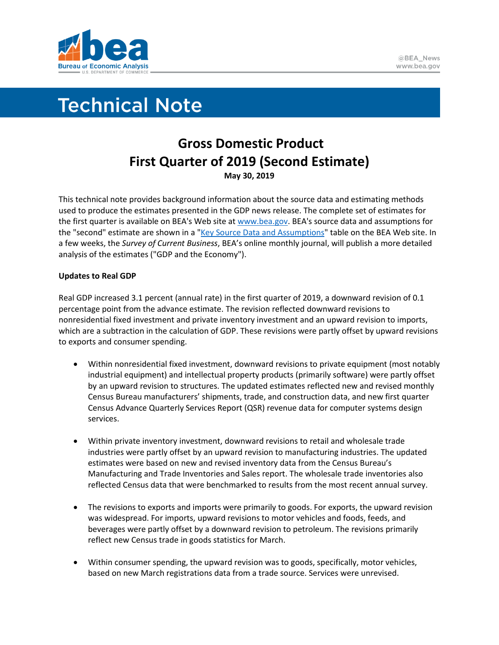

# **Technical Note**

## **Gross Domestic Product First Quarter of 2019 (Second Estimate) May 30, 2019**

This technical note provides background information about the source data and estimating methods used to produce the estimates presented in the GDP news release. The complete set of estimates for the first quarter is available on BEA's Web site a[t www.bea.gov.](http://www.bea.gov/) BEA's source data and assumptions for the "second" estimate are shown in a ["Key Source Data and Assumptions"](https://www.bea.gov/system/files/2019-05/GDPKeySource_1q19_05-31-19.xlsx) table on the BEA Web site. In a few weeks, the *Survey of Current Business*, BEA's online monthly journal, will publish a more detailed analysis of the estimates ("GDP and the Economy").

### **Updates to Real GDP**

Real GDP increased 3.1 percent (annual rate) in the first quarter of 2019, a downward revision of 0.1 percentage point from the advance estimate. The revision reflected downward revisions to nonresidential fixed investment and private inventory investment and an upward revision to imports, which are a subtraction in the calculation of GDP. These revisions were partly offset by upward revisions to exports and consumer spending.

- Within nonresidential fixed investment, downward revisions to private equipment (most notably industrial equipment) and intellectual property products (primarily software) were partly offset by an upward revision to structures. The updated estimates reflected new and revised monthly Census Bureau manufacturers' shipments, trade, and construction data, and new first quarter Census Advance Quarterly Services Report (QSR) revenue data for computer systems design services.
- Within private inventory investment, downward revisions to retail and wholesale trade industries were partly offset by an upward revision to manufacturing industries. The updated estimates were based on new and revised inventory data from the Census Bureau's Manufacturing and Trade Inventories and Sales report. The wholesale trade inventories also reflected Census data that were benchmarked to results from the most recent annual survey.
- The revisions to exports and imports were primarily to goods. For exports, the upward revision was widespread. For imports, upward revisions to motor vehicles and foods, feeds, and beverages were partly offset by a downward revision to petroleum. The revisions primarily reflect new Census trade in goods statistics for March.
- Within consumer spending, the upward revision was to goods, specifically, motor vehicles, based on new March registrations data from a trade source. Services were unrevised.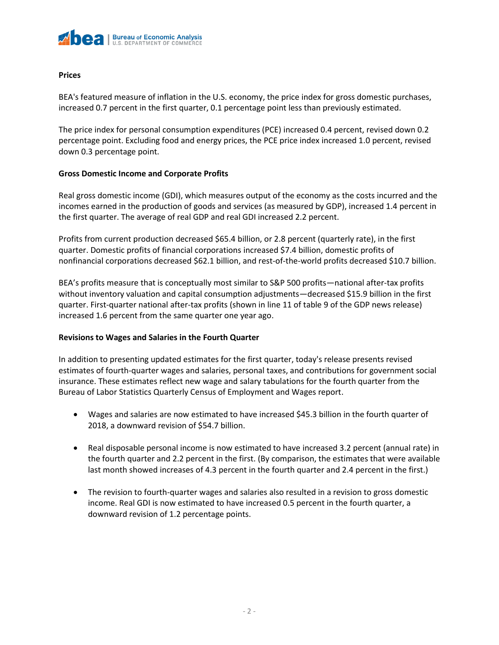

#### **Prices**

BEA's featured measure of inflation in the U.S. economy, the price index for gross domestic purchases, increased 0.7 percent in the first quarter, 0.1 percentage point less than previously estimated.

The price index for personal consumption expenditures (PCE) increased 0.4 percent, revised down 0.2 percentage point. Excluding food and energy prices, the PCE price index increased 1.0 percent, revised down 0.3 percentage point.

#### **Gross Domestic Income and Corporate Profits**

Real gross domestic income (GDI), which measures output of the economy as the costs incurred and the incomes earned in the production of goods and services (as measured by GDP), increased 1.4 percent in the first quarter. The average of real GDP and real GDI increased 2.2 percent.

Profits from current production decreased \$65.4 billion, or 2.8 percent (quarterly rate), in the first quarter. Domestic profits of financial corporations increased \$7.4 billion, domestic profits of nonfinancial corporations decreased \$62.1 billion, and rest-of-the-world profits decreased \$10.7 billion.

BEA's profits measure that is conceptually most similar to S&P 500 profits—national after-tax profits without inventory valuation and capital consumption adjustments—decreased \$15.9 billion in the first quarter. First-quarter national after-tax profits (shown in line 11 of table 9 of the GDP news release) increased 1.6 percent from the same quarter one year ago.

#### **Revisions to Wages and Salaries in the Fourth Quarter**

In addition to presenting updated estimates for the first quarter, today's release presents revised estimates of fourth-quarter wages and salaries, personal taxes, and contributions for government social insurance. These estimates reflect new wage and salary tabulations for the fourth quarter from the Bureau of Labor Statistics Quarterly Census of Employment and Wages report.

- Wages and salaries are now estimated to have increased \$45.3 billion in the fourth quarter of 2018, a downward revision of \$54.7 billion.
- Real disposable personal income is now estimated to have increased 3.2 percent (annual rate) in the fourth quarter and 2.2 percent in the first. (By comparison, the estimates that were available last month showed increases of 4.3 percent in the fourth quarter and 2.4 percent in the first.)
- The revision to fourth-quarter wages and salaries also resulted in a revision to gross domestic income. Real GDI is now estimated to have increased 0.5 percent in the fourth quarter, a downward revision of 1.2 percentage points.